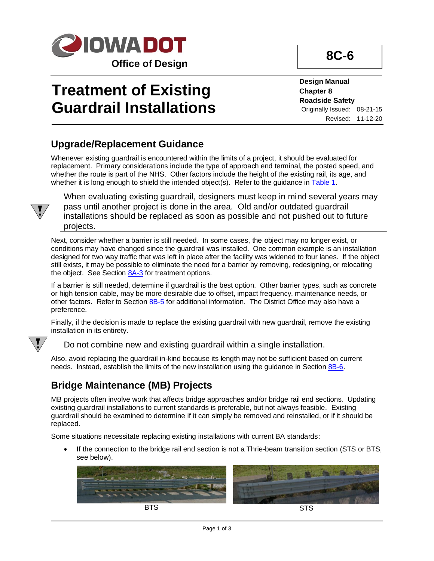

# **Treatment of Existing Guardrail Installations**

**8C-6**

**Design Manual Chapter 8 Roadside Safety** Originally Issued: 08-21-15 Revised: 11-12-20

#### **Upgrade/Replacement Guidance**

Whenever existing guardrail is encountered within the limits of a project, it should be evaluated for replacement. Primary considerations include the type of approach end terminal, the posted speed, and whether the route is part of the NHS. Other factors include the height of the existing rail, its age, and whether it is long enough to shield the intended object(s). Refer to the guidance in  $Table 1$ .



When evaluating existing guardrail, designers must keep in mind several years may pass until another project is done in the area. Old and/or outdated guardrail installations should be replaced as soon as possible and not pushed out to future projects.

Next, consider whether a barrier is still needed. In some cases, the object may no longer exist, or conditions may have changed since the guardrail was installed. One common example is an installation designed for two way traffic that was left in place after the facility was widened to four lanes. If the object still exists, it may be possible to eliminate the need for a barrier by removing, redesigning, or relocating the object. See Section [8A-3](08A-03.pdf) for treatment options.

If a barrier is still needed, determine if guardrail is the best option. Other barrier types, such as concrete or high tension cable, may be more desirable due to offset, impact frequency, maintenance needs, or other factors. Refer to Sectio[n 8B-5](08b-05.pdf) for additional information. The District Office may also have a preference.

Finally, if the decision is made to replace the existing guardrail with new guardrail, remove the existing installation in its entirety.



Do not combine new and existing guardrail within a single installation.

Also, avoid replacing the guardrail in-kind because its length may not be sufficient based on current needs. Instead, establish the limits of the new installation using the guidance in Section [8B-6.](08b-06.pdf)

### **Bridge Maintenance (MB) Projects**

MB projects often involve work that affects bridge approaches and/or bridge rail end sections. Updating existing guardrail installations to current standards is preferable, but not always feasible. Existing guardrail should be examined to determine if it can simply be removed and reinstalled, or if it should be replaced.

Some situations necessitate replacing existing installations with current BA standards:

If the connection to the bridge rail end section is not a Thrie-beam transition section (STS or BTS, see below).

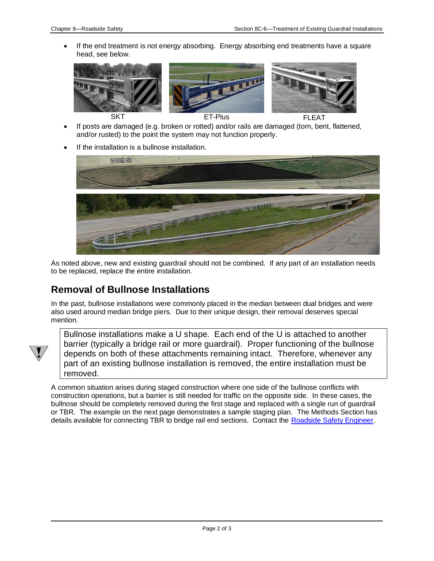• If the end treatment is not energy absorbing. Energy absorbing end treatments have a square head, see below.



- If posts are damaged (e.g. broken or rotted) and/or rails are damaged (torn, bent, flattened, and/or rusted) to the point the system may not function properly.
- If the installation is a bullnose installation.



As noted above, new and existing guardrail should not be combined. If any part of an installation needs to be replaced, replace the entire installation.

#### **Removal of Bullnose Installations**

In the past, bullnose installations were commonly placed in the median between dual bridges and were also used around median bridge piers. Due to their unique design, their removal deserves special mention.



Bullnose installations make a U shape. Each end of the U is attached to another barrier (typically a bridge rail or more guardrail). Proper functioning of the bullnose depends on both of these attachments remaining intact. Therefore, whenever any part of an existing bullnose installation is removed, the entire installation must be removed.

A common situation arises during staged construction where one side of the bullnose conflicts with construction operations, but a barrier is still needed for traffic on the opposite side. In these cases, the bullnose should be completely removed during the first stage and replaced with a single run of guardrail or TBR. The example on the next page demonstrates a sample staging plan. The Methods Section has details available for connecting TBR to bridge rail end sections. Contact the [Roadside Safety Engineer.](01B-02/RoadsideSafetyEngineer.pdf)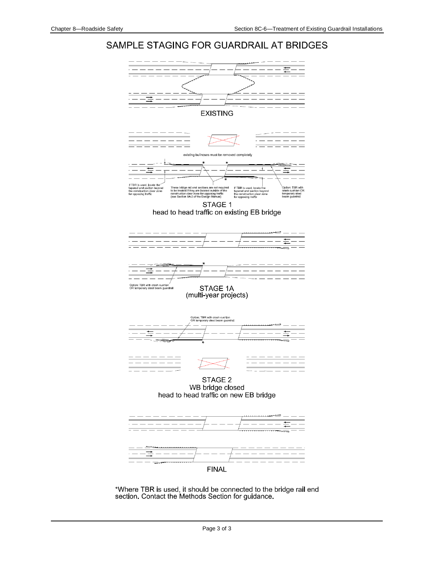#### SAMPLE STAGING FOR GUARDRAIL AT BRIDGES



\*Where TBR is used, it should be connected to the bridge rail end section. Contact the Methods Section for guidance.